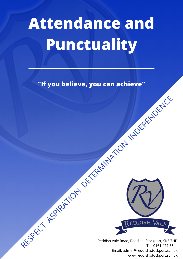# **Attendance and Punctuality**

**"If you believe, you can achieve"**



Reddish Vale Road, Reddish, Stockport, SK5 7HD Tel: 0161 477 3544 Email: admin@reddish.stockport.sch.uk www.reddish.stockport.sch.uk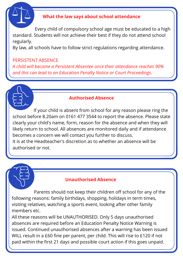

## **What the law says about school attendance**

 Every child of compulsory school age must be educated to a high standard. Students will not achieve their best if they do not attend school regularly.

By law, all schools have to follow strict regulations regarding attendance.

## PERSISTENT ABSENCE

*A child will become a Persistent Absentee once their attendance reaches 90% and this can lead to an Education Penalty Notice or Court Proceedings.*

## **Authorised Absence**

 If your child is absent from school for any reason please ring the school before 8.20am on 0161 477 3544 to report the absence. Please state clearly your child's name, form, reason for the absence and when they will likely return to school. All absences are monitored daily and if attendance becomes a concern we will contact you further to discuss.

It is at the Headteacher's discretion as to whether an absence will be authorised or not.

# **Unauthorised Absence**

 Parents should not keep their children off school for any of the following reasons: family birthdays, shopping, holidays in term times, visiting relatives, watching a sports event, looking after other family members etc.

All these reasons will be UNAUTHORISED. Only 5 days unauthorised absences are required before an Education Penalty Notice Warning is issued. Continued unauthorised absences after a warning has been issued WILL result in a £60 fine per parent, per child. This will rise to £120 if not paid within the first 21 days and possible court action if this goes unpaid.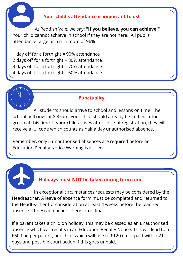#### **Your child's attendance is important to us!**

 At Reddish Vale, we say: **"If you believe, you can achieve!"** Your child cannot achieve in school if they are not here! All pupils' attendance target is a minimum of 96%

1 day off for a fortnight = 90% attendance 2 days off for a fortnight = 80% attendance 3 days off for a fortnight = 70% attendance 4 days off for a fortnight = 60% attendance

#### **Punctuality**

 All students should arrive to school and lessons on time. The school bell rings at 8.35am; your child should already be in their tutor group at this time. If your child arrives after close of registration, they will receive a 'U' code which counts as half a day unauthorised absence.

Remember, only 5 unauthorised absences are required before an Education Penalty Notice Warning is issued.

### **Holidays must NOT be taken during term time**

 In exceptional circumstances requests may be considered by the Headteacher. A leave of absence form must be completed and returned to the Headteacher for consideration at least 4 weeks before the planned absence. The Headteacher's decision is final.

If a parent takes a child on holiday, this may be classed as an unauthorised absence which will results in an Education Penalty Notice. This will lead to a £60 fine per parent, per child, which will rise to £120 if not paid within 21 days and possible court action if this goes unpaid.